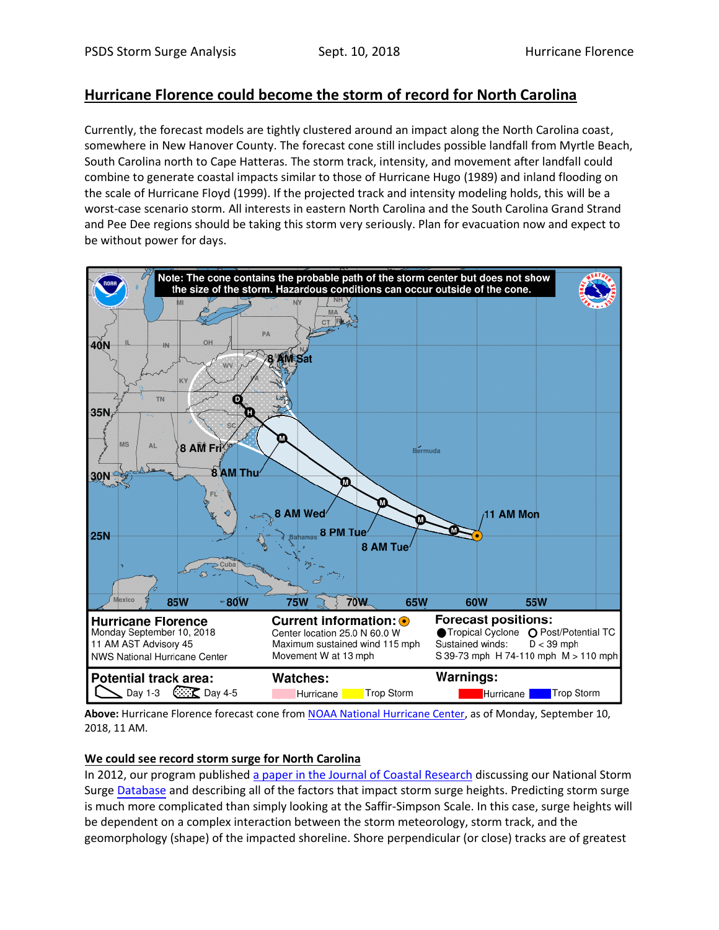## **Hurricane Florence could become the storm of record for North Carolina**

Currently, the forecast models are tightly clustered around an impact along the North Carolina coast, somewhere in New Hanover County. The forecast cone still includes possible landfall from Myrtle Beach, South Carolina north to Cape Hatteras. The storm track, intensity, and movement after landfall could combine to generate coastal impacts similar to those of Hurricane Hugo (1989) and inland flooding on the scale of Hurricane Floyd (1999). If the projected track and intensity modeling holds, this will be a worst-case scenario storm. All interests in eastern North Carolina and the South Carolina Grand Strand and Pee Dee regions should be taking this storm very seriously. Plan for evacuation now and expect to be without power for days.



**Above:** Hurricane Florence forecast cone fro[m NOAA National Hurricane Center,](https://www.nhc.noaa.gov/graphics_at1.shtml?cone#contents) as of Monday, September 10, 2018, 11 AM.

## **We could see record storm surge for North Carolina**

In 2012, our program publishe[d a paper in the Journal of Coastal Research](http://www.jcronline.org/doi/abs/10.2112/JCOASTRES-D-12-00249.1?code=cerf-site) discussing our National Storm Surge [Database](stormsurge.wcu.edu) and describing all of the factors that impact storm surge heights. Predicting storm surge is much more complicated than simply looking at the Saffir-Simpson Scale. In this case, surge heights will be dependent on a complex interaction between the storm meteorology, storm track, and the geomorphology (shape) of the impacted shoreline. Shore perpendicular (or close) tracks are of greatest